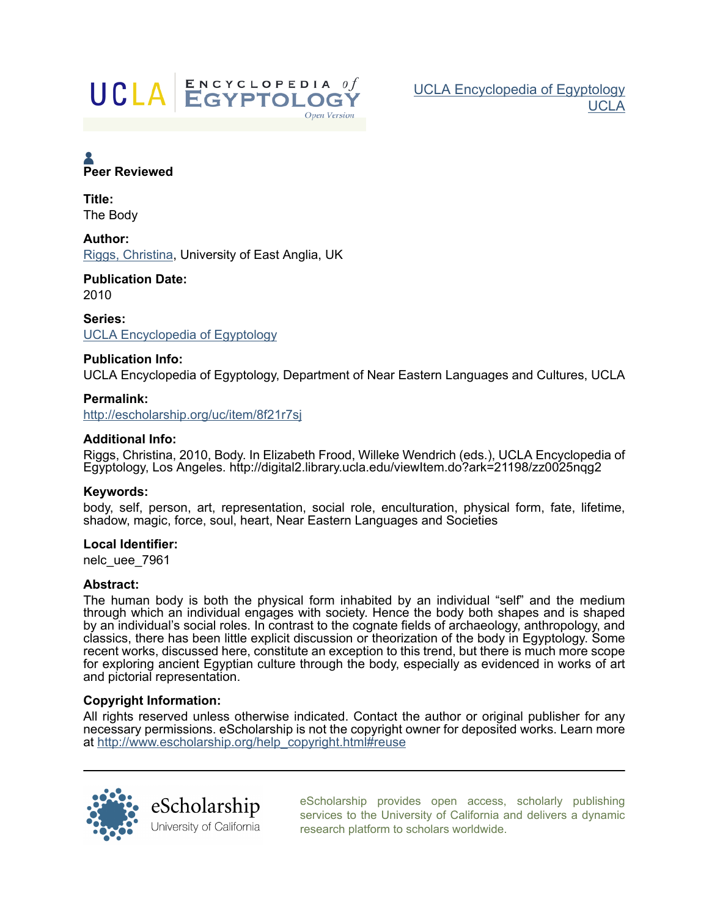

[UCLA Encyclopedia of Egyptology](http://escholarship.org/uc/nelc_uee) [UCLA](http://escholarship.org/uc/ucla)

# **A**<br>Peer Reviewed

Title: The Body

Author: [Riggs, Christina,](http://escholarship.org/uc/search?creator=Riggs%2C%20Christina) University of East Anglia, UK

Publication Date: 2010

Series: [UCLA Encyclopedia of Egyptology](http://escholarship.org/uc/nelc_uee)

# Publication Info:

UCLA Encyclopedia of Egyptology, Department of Near Eastern Languages and Cultures, UCLA

# Permalink:

<http://escholarship.org/uc/item/8f21r7sj>

# Additional Info:

Riggs, Christina, 2010, Body. In Elizabeth Frood, Willeke Wendrich (eds.), UCLA Encyclopedia of Egyptology, Los Angeles. http://digital2.library.ucla.edu/viewItem.do?ark=21198/zz0025nqg2

# Keywords:

body, self, person, art, representation, social role, enculturation, physical form, fate, lifetime, shadow, magic, force, soul, heart, Near Eastern Languages and Societies

# Local Identifier:

nelc\_uee\_7961

# Abstract:

The human body is both the physical form inhabited by an individual "self" and the medium through which an individual engages with society. Hence the body both shapes and is shaped by an individual's social roles. In contrast to the cognate fields of archaeology, anthropology, and classics, there has been little explicit discussion or theorization of the body in Egyptology. Some recent works, discussed here, constitute an exception to this trend, but there is much more scope for exploring ancient Egyptian culture through the body, especially as evidenced in works of art and pictorial representation.

# Copyright Information:

All rights reserved unless otherwise indicated. Contact the author or original publisher for any necessary permissions. eScholarship is not the copyright owner for deposited works. Learn more at [http://www.escholarship.org/help\\_copyright.html#reuse](http://www.escholarship.org/help_copyright.html#reuse)



[eScholarship provides open access, scholarly publishing](http://escholarship.org) [services to the University of California and delivers a dynamic](http://escholarship.org) [research platform to scholars worldwide.](http://escholarship.org)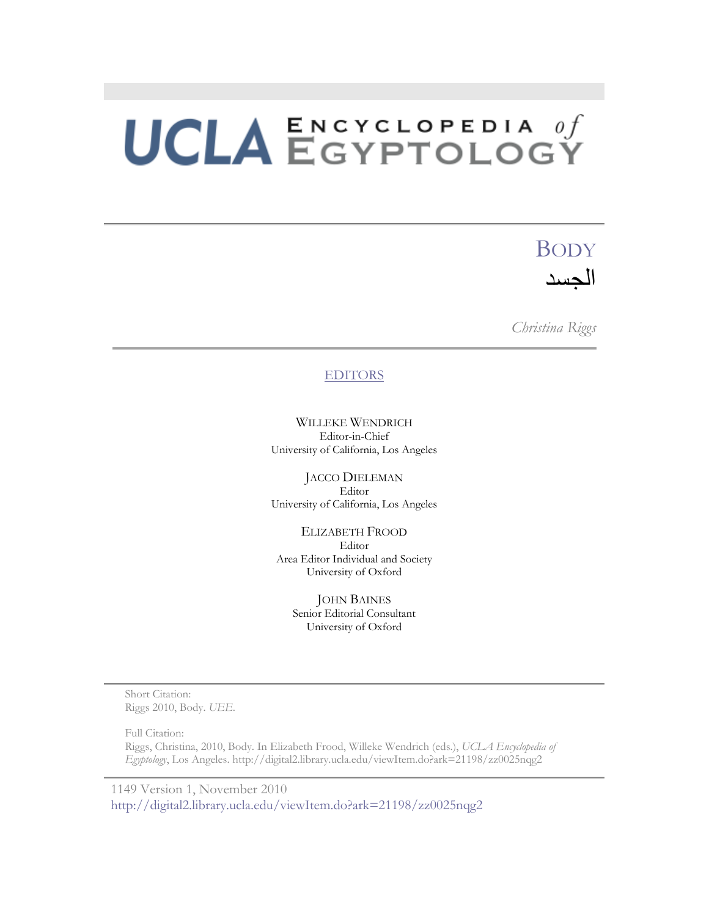# BODY الجسد

*Christina Riggs* 

# **EDITORS**

WILLEKE WENDRICH Editor-in-Chief University of California, Los Angeles

JACCO DIELEMAN Editor University of California, Los Angeles

ELIZABETH FROOD Editor Area Editor Individual and Society University of Oxford

> JOHN BAINES Senior Editorial Consultant University of Oxford

Short Citation: Riggs 2010, Body. *UEE*.

Full Citation:

Riggs, Christina, 2010, Body. In Elizabeth Frood, Willeke Wendrich (eds.), *UCLA Encyclopedia of Egyptology*, Los Angeles. http://digital2.library.ucla.edu/viewItem.do?ark=21198/zz0025nqg2

1149 Version 1, November 2010 http://digital2.library.ucla.edu/viewItem.do?ark=21198/zz0025nqg2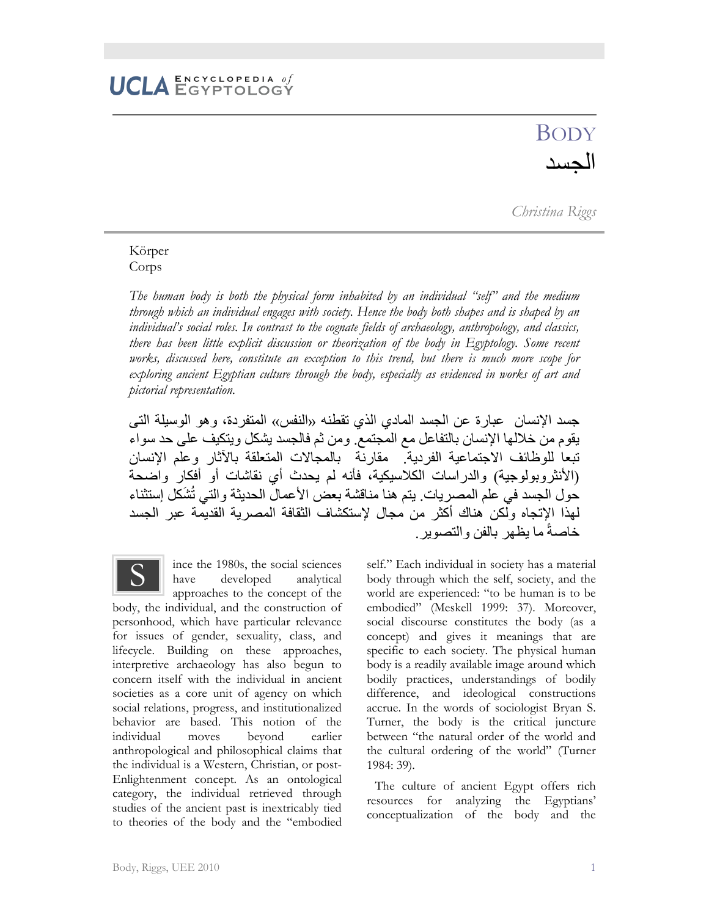# **BODY** الجسد

*Christina Riggs* 

## Körper Corps

*The human body is both the physical form inhabited by an individual "self" and the medium through which an individual engages with society. Hence the body both shapes and is shaped by an individual's social roles. In contrast to the cognate fields of archaeology, anthropology, and classics, there has been little explicit discussion or theorization of the body in Egyptology. Some recent works, discussed here, constitute an exception to this trend, but there is much more scope for exploring ancient Egyptian culture through the body, especially as evidenced in works of art and pictorial representation.* 

جسد اإلنسان عبارة عن الجسد المادي الذي تقطنه «النفس» المتفردة، وھو الوسيلة التى يقوم من خاللھا اإلنسان بالتفاعل مع المجتمع. ومن ثم فالجسد يشكل ويتكيف على حد سواء تبعا للوظائف االجتماعية الفردية. مقارنة بالمجاالت المتعلقة باآلثار وعلم اإلنسان (األنثروبولوجية) والدراسات الكالسيكية، فأنه لم يحدث أي نقاشات أو أفكار واضحة حول الجسد في علم المصريات. يتم هنا مناقشة بعض الأعمال الحديثة والتي تُشَكل إستثناء لھذا اإلتجاه ولكن ھناك أكثر من مجال إلستكشاف الثقافة المصرية القديمة عبر الجسد خاصةً ما يظهر بالفن والتصوير.

ince the 1980s, the social sciences have developed analytical approaches to the concept of the body, the individual, and the construction of personhood, which have particular relevance for issues of gender, sexuality, class, and lifecycle. Building on these approaches, interpretive archaeology has also begun to concern itself with the individual in ancient societies as a core unit of agency on which social relations, progress, and institutionalized behavior are based. This notion of the individual moves beyond earlier anthropological and philosophical claims that the individual is a Western, Christian, or post-Enlightenment concept. As an ontological category, the individual retrieved through studies of the ancient past is inextricably tied to theories of the body and the "embodied S

self." Each individual in society has a material body through which the self, society, and the world are experienced: "to be human is to be embodied" (Meskell 1999: 37). Moreover, social discourse constitutes the body (as a concept) and gives it meanings that are specific to each society. The physical human body is a readily available image around which bodily practices, understandings of bodily difference, and ideological constructions accrue. In the words of sociologist Bryan S. Turner, the body is the critical juncture between "the natural order of the world and the cultural ordering of the world" (Turner 1984: 39).

The culture of ancient Egypt offers rich resources for analyzing the Egyptians' conceptualization of the body and the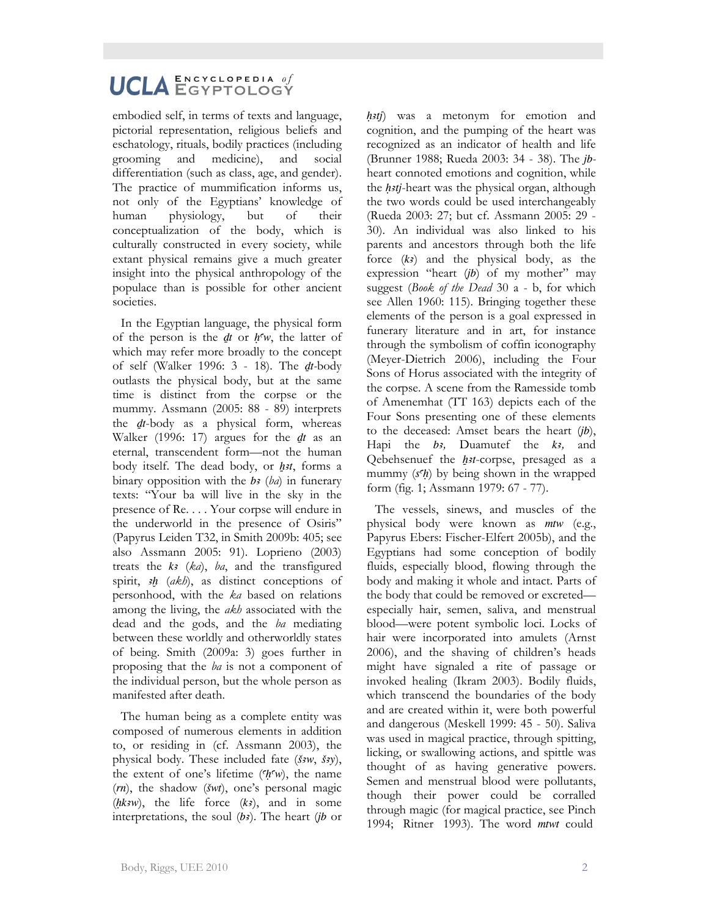embodied self, in terms of texts and language, pictorial representation, religious beliefs and eschatology, rituals, bodily practices (including grooming and medicine), and social differentiation (such as class, age, and gender). The practice of mummification informs us, not only of the Egyptians' knowledge of human physiology, but of their conceptualization of the body, which is culturally constructed in every society, while extant physical remains give a much greater insight into the physical anthropology of the populace than is possible for other ancient societies.

In the Egyptian language, the physical form of the person is the  $dt$  or  $h<sup>c</sup>w$ , the latter of which may refer more broadly to the concept of self (Walker 1996: 3 - 18). The *dt*-body outlasts the physical body, but at the same time is distinct from the corpse or the mummy. Assmann (2005: 88 - 89) interprets the *dt*-body as a physical form, whereas Walker (1996: 17) argues for the *dt* as an eternal, transcendent form—not the human body itself. The dead body, or *h<sub>3t*</sub>, forms a binary opposition with the  $b_3$  ( $b_4$ ) in funerary texts: "Your ba will live in the sky in the presence of Re. . . . Your corpse will endure in the underworld in the presence of Osiris" (Papyrus Leiden T32, in Smith 2009b: 405; see also Assmann 2005: 91). Loprieno (2003) treats the  $k_3$  ( $k_a$ ),  $ba$ , and the transfigured spirit, *ah* (*akh*), as distinct conceptions of personhood, with the *ka* based on relations among the living, the *akh* associated with the dead and the gods, and the *ba* mediating between these worldly and otherworldly states of being. Smith (2009a: 3) goes further in proposing that the *ba* is not a component of the individual person, but the whole person as manifested after death.

The human being as a complete entity was composed of numerous elements in addition to, or residing in (cf. Assmann 2003), the physical body. These included fate  $(\check{s}^3w, \check{s}^3y)$ , the extent of one's lifetime  $(h<sup>c</sup>w)$ , the name (*rn*), the shadow (*Swt*), one's personal magic  $(hksw)$ , the life force  $(kz)$ , and in some interpretations, the soul  $(b)$ . The heart  $(b)$  or

*h<sub>3tj</sub>*) was a metonym for emotion and cognition, and the pumping of the heart was recognized as an indicator of health and life (Brunner 1988; Rueda 2003: 34 - 38). The *jb*heart connoted emotions and cognition, while the *HAtj*-heart was the physical organ, although the two words could be used interchangeably (Rueda 2003: 27; but cf. Assmann 2005: 29 - 30). An individual was also linked to his parents and ancestors through both the life force  $(k)$  and the physical body, as the expression "heart (*jb*) of my mother" may suggest (*Book of the Dead* 30 a - b, for which see Allen 1960: 115). Bringing together these elements of the person is a goal expressed in funerary literature and in art, for instance through the symbolism of coffin iconography (Meyer-Dietrich 2006), including the Four Sons of Horus associated with the integrity of the corpse. A scene from the Ramesside tomb of Amenemhat (TT 163) depicts each of the Four Sons presenting one of these elements to the deceased: Amset bears the heart (*jb*), Hapi the *b*<sup>2</sup>, Duamutef the *k*<sup>2</sup>, and Qebehsenuef the *h<sub>3t*-corpse, presaged as a</sub> mummy  $(s<sup>c</sup>h)$  by being shown in the wrapped form (fig. 1; Assmann 1979: 67 - 77).

The vessels, sinews, and muscles of the physical body were known as *mtw* (e.g., Papyrus Ebers: Fischer-Elfert 2005b), and the Egyptians had some conception of bodily fluids, especially blood, flowing through the body and making it whole and intact. Parts of the body that could be removed or excreted especially hair, semen, saliva, and menstrual blood—were potent symbolic loci. Locks of hair were incorporated into amulets (Arnst 2006), and the shaving of children's heads might have signaled a rite of passage or invoked healing (Ikram 2003). Bodily fluids, which transcend the boundaries of the body and are created within it, were both powerful and dangerous (Meskell 1999: 45 - 50). Saliva was used in magical practice, through spitting, licking, or swallowing actions, and spittle was thought of as having generative powers. Semen and menstrual blood were pollutants, though their power could be corralled through magic (for magical practice, see Pinch 1994; Ritner 1993). The word *mtwt* could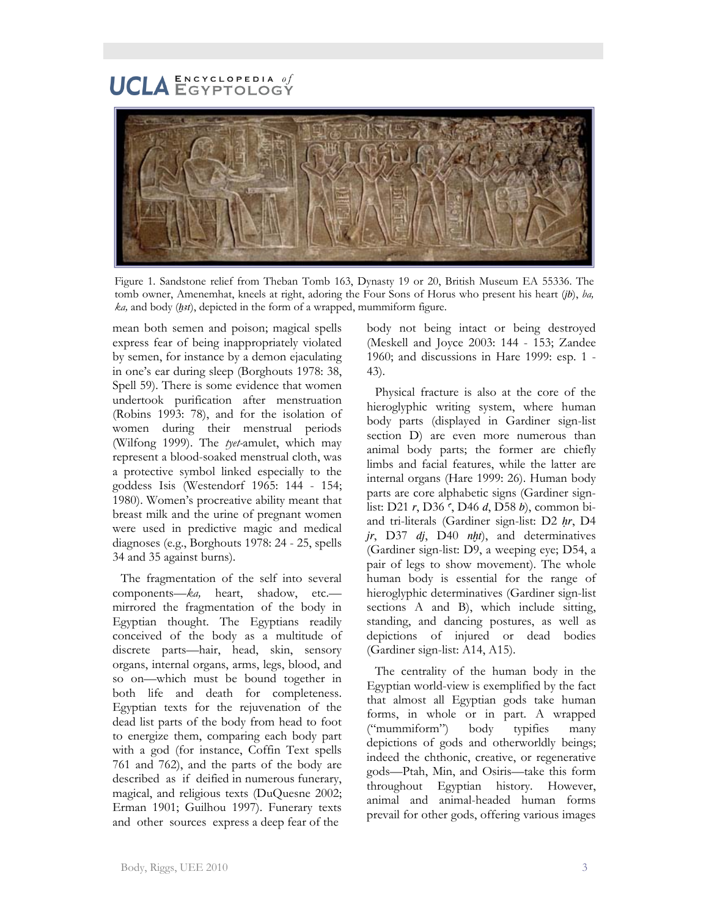# $\mathbf E \, \mathbf N \, \mathbf C \, \mathbf Y \, \mathbf C \, \mathbf L \, \mathbf O \, \mathbf P \, \mathbf E \, \mathbf D \, \mathbf I \, \mathbf A \quad \theta \, \boldsymbol{f}$ UCLA ENCYCLOPEDIA Of



Figure 1. Sandstone relief from Theban Tomb 163, Dynasty 19 or 20, British Museum EA 55336. The tomb owner, Amenemhat, kneels at right, adoring the Four Sons of Horus who present his heart (*jb*), *ba, ka*, and body (*h*<sub>3</sub>*t*), depicted in the form of a wrapped, mummiform figure.

mean both semen and poison; magical spells express fear of being inappropriately violated by semen, for instance by a demon ejaculating in one's ear during sleep (Borghouts 1978: 38, Spell 59). There is some evidence that women undertook purification after menstruation (Robins 1993: 78), and for the isolation of women during their menstrual periods (Wilfong 1999). The *tyet-*amulet, which may represent a blood-soaked menstrual cloth, was a protective symbol linked especially to the goddess Isis (Westendorf 1965: 144 - 154; 1980). Women's procreative ability meant that breast milk and the urine of pregnant women were used in predictive magic and medical diagnoses (e.g., Borghouts 1978: 24 - 25, spells 34 and 35 against burns).

The fragmentation of the self into several components—*ka,* heart, shadow, etc. mirrored the fragmentation of the body in Egyptian thought. The Egyptians readily conceived of the body as a multitude of discrete parts—hair, head, skin, sensory organs, internal organs, arms, legs, blood, and so on—which must be bound together in both life and death for completeness. Egyptian texts for the rejuvenation of the dead list parts of the body from head to foot to energize them, comparing each body part with a god (for instance, Coffin Text spells 761 and 762), and the parts of the body are described as if deified in numerous funerary, magical, and religious texts (DuQuesne 2002; Erman 1901; Guilhou 1997). Funerary texts and other sources express a deep fear of the

body not being intact or being destroyed (Meskell and Joyce 2003: 144 - 153; Zandee 1960; and discussions in Hare 1999: esp. 1 - 43).

Physical fracture is also at the core of the hieroglyphic writing system, where human body parts (displayed in Gardiner sign-list section D) are even more numerous than animal body parts; the former are chiefly limbs and facial features, while the latter are internal organs (Hare 1999: 26). Human body parts are core alphabetic signs (Gardiner signlist: D21 *r*, D36  $\zeta$ , D46 *d*, D58 *b*), common biand tri-literals (Gardiner sign-list: D2 *Hr*, D4 *jr*, D37 *dj*, D40 *nht*), and determinatives (Gardiner sign-list: D9, a weeping eye; D54, a pair of legs to show movement). The whole human body is essential for the range of hieroglyphic determinatives (Gardiner sign-list sections A and B), which include sitting, standing, and dancing postures, as well as depictions of injured or dead bodies (Gardiner sign-list: A14, A15).

The centrality of the human body in the Egyptian world-view is exemplified by the fact that almost all Egyptian gods take human forms, in whole or in part. A wrapped ("mummiform") body typifies many depictions of gods and otherworldly beings; indeed the chthonic, creative, or regenerative gods—Ptah, Min, and Osiris—take this form throughout Egyptian history. However, animal and animal-headed human forms prevail for other gods, offering various images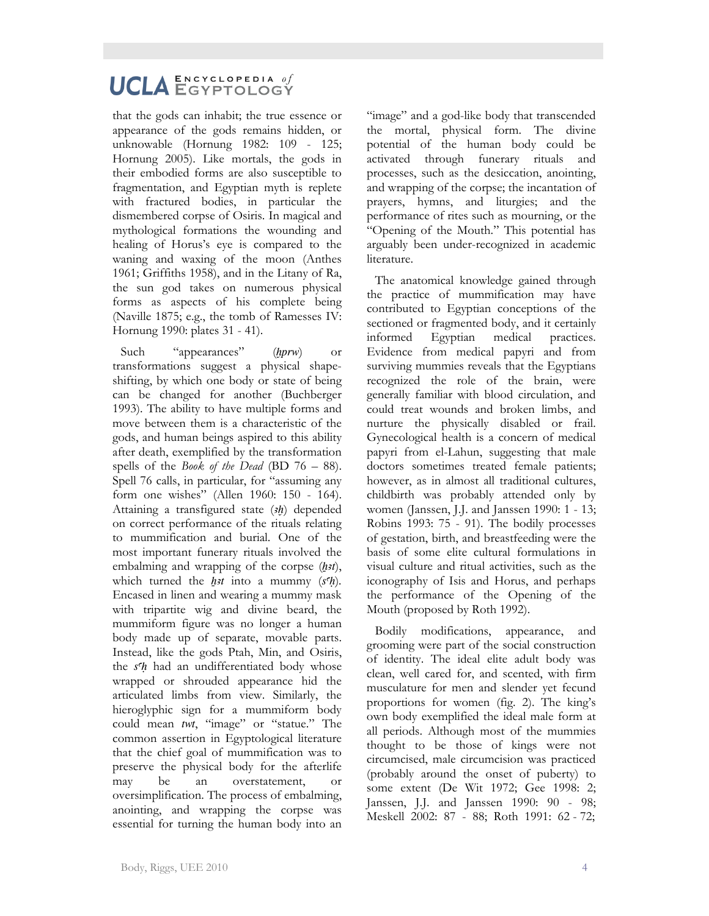# UCLA ENCYCLOPEDIA of  $\mathbf E \, \mathbf N \, \mathbf C \, \mathbf Y \, \mathbf C \, \mathbf L \, \mathbf O \, \mathbf P \, \mathbf E \, \mathbf D \, \mathbf I \, \mathbf A \quad \theta \, \boldsymbol{f}$

that the gods can inhabit; the true essence or appearance of the gods remains hidden, or unknowable (Hornung 1982: 109 - 125; Hornung 2005). Like mortals, the gods in their embodied forms are also susceptible to fragmentation, and Egyptian myth is replete with fractured bodies, in particular the dismembered corpse of Osiris. In magical and mythological formations the wounding and healing of Horus's eye is compared to the waning and waxing of the moon (Anthes 1961; Griffiths 1958), and in the Litany of Ra, the sun god takes on numerous physical forms as aspects of his complete being (Naville 1875; e.g., the tomb of Ramesses IV: Hornung 1990: plates 31 - 41).

Such "appearances" (*hprw*) or transformations suggest a physical shapeshifting, by which one body or state of being can be changed for another (Buchberger 1993). The ability to have multiple forms and move between them is a characteristic of the gods, and human beings aspired to this ability after death, exemplified by the transformation spells of the *Book of the Dead* (BD 76 – 88). Spell 76 calls, in particular, for "assuming any form one wishes" (Allen 1960: 150 - 164). Attaining a transfigured state (*Ax*) depended on correct performance of the rituals relating to mummification and burial. One of the most important funerary rituals involved the embalming and wrapping of the corpse (h<sub>2t</sub>), which turned the *h<sub>3t*</sub> into a mummy ( $s<sup>c</sup>h$ )</sub>. Encased in linen and wearing a mummy mask with tripartite wig and divine beard, the mummiform figure was no longer a human body made up of separate, movable parts. Instead, like the gods Ptah, Min, and Osiris, the *sh* had an undifferentiated body whose wrapped or shrouded appearance hid the articulated limbs from view. Similarly, the hieroglyphic sign for a mummiform body could mean *twt*, "image" or "statue." The common assertion in Egyptological literature that the chief goal of mummification was to preserve the physical body for the afterlife may be an overstatement, or oversimplification. The process of embalming, anointing, and wrapping the corpse was essential for turning the human body into an

"image" and a god-like body that transcended the mortal, physical form. The divine potential of the human body could be activated through funerary rituals and processes, such as the desiccation, anointing, and wrapping of the corpse; the incantation of prayers, hymns, and liturgies; and the performance of rites such as mourning, or the "Opening of the Mouth." This potential has arguably been under-recognized in academic literature.

The anatomical knowledge gained through the practice of mummification may have contributed to Egyptian conceptions of the sectioned or fragmented body, and it certainly informed Egyptian medical practices. Evidence from medical papyri and from surviving mummies reveals that the Egyptians recognized the role of the brain, were generally familiar with blood circulation, and could treat wounds and broken limbs, and nurture the physically disabled or frail. Gynecological health is a concern of medical papyri from el-Lahun, suggesting that male doctors sometimes treated female patients; however, as in almost all traditional cultures, childbirth was probably attended only by women (Janssen, J.J. and Janssen 1990: 1 - 13; Robins 1993: 75 - 91). The bodily processes of gestation, birth, and breastfeeding were the basis of some elite cultural formulations in visual culture and ritual activities, such as the iconography of Isis and Horus, and perhaps the performance of the Opening of the Mouth (proposed by Roth 1992).

Bodily modifications, appearance, and grooming were part of the social construction of identity. The ideal elite adult body was clean, well cared for, and scented, with firm musculature for men and slender yet fecund proportions for women (fig. 2). The king's own body exemplified the ideal male form at all periods. Although most of the mummies thought to be those of kings were not circumcised, male circumcision was practiced (probably around the onset of puberty) to some extent (De Wit 1972; Gee 1998: 2; Janssen, J.J. and Janssen 1990: 90 - 98; Meskell 2002: 87 - 88; Roth 1991: 62 - 72;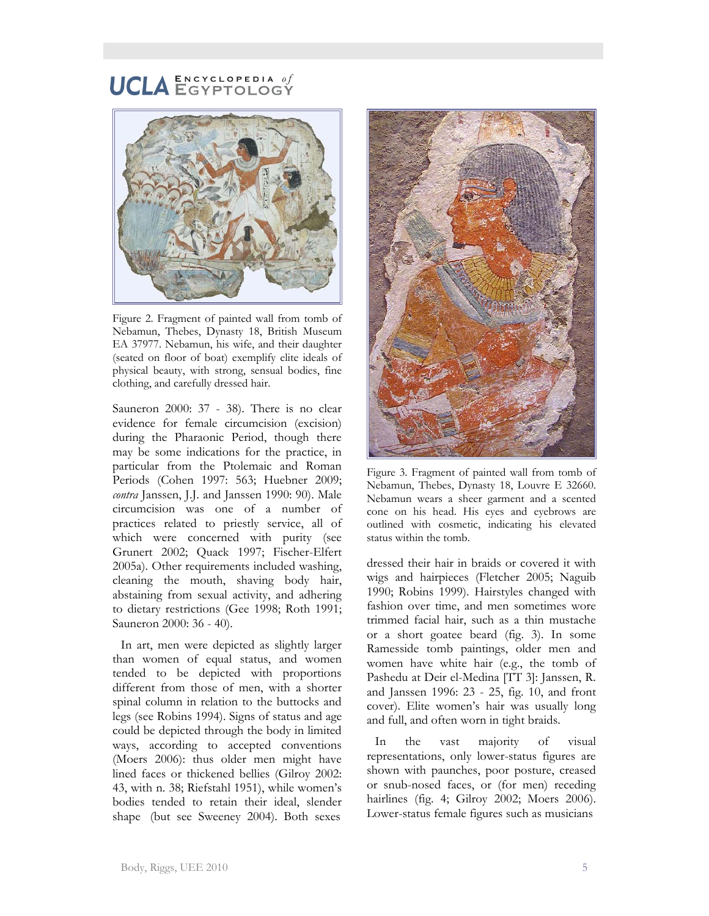

Figure 2. Fragment of painted wall from tomb of Nebamun, Thebes, Dynasty 18, British Museum EA 37977. Nebamun, his wife, and their daughter (seated on floor of boat) exemplify elite ideals of physical beauty, with strong, sensual bodies, fine clothing, and carefully dressed hair.

Sauneron 2000: 37 - 38). There is no clear evidence for female circumcision (excision) during the Pharaonic Period, though there may be some indications for the practice, in particular from the Ptolemaic and Roman Periods (Cohen 1997: 563; Huebner 2009; *contra* Janssen, J.J. and Janssen 1990: 90). Male circumcision was one of a number of practices related to priestly service, all of which were concerned with purity (see Grunert 2002; Quack 1997; Fischer-Elfert 2005a). Other requirements included washing, cleaning the mouth, shaving body hair, abstaining from sexual activity, and adhering to dietary restrictions (Gee 1998; Roth 1991; Sauneron 2000: 36 - 40).

In art, men were depicted as slightly larger than women of equal status, and women tended to be depicted with proportions different from those of men, with a shorter spinal column in relation to the buttocks and legs (see Robins 1994). Signs of status and age could be depicted through the body in limited ways, according to accepted conventions (Moers 2006): thus older men might have lined faces or thickened bellies (Gilroy 2002: 43, with n. 38; Riefstahl 1951), while women's bodies tended to retain their ideal, slender shape (but see Sweeney 2004). Both sexes



Figure 3. Fragment of painted wall from tomb of Nebamun, Thebes, Dynasty 18, Louvre E 32660. Nebamun wears a sheer garment and a scented cone on his head. His eyes and eyebrows are outlined with cosmetic, indicating his elevated status within the tomb.

dressed their hair in braids or covered it with wigs and hairpieces (Fletcher 2005; Naguib 1990; Robins 1999). Hairstyles changed with fashion over time, and men sometimes wore trimmed facial hair, such as a thin mustache or a short goatee beard (fig. 3). In some Ramesside tomb paintings, older men and women have white hair (e.g., the tomb of Pashedu at Deir el-Medina [TT 3]: Janssen, R. and Janssen 1996: 23 - 25, fig. 10, and front cover). Elite women's hair was usually long and full, and often worn in tight braids.

In the vast majority of visual representations, only lower-status figures are shown with paunches, poor posture, creased or snub-nosed faces, or (for men) receding hairlines (fig. 4; Gilroy 2002; Moers 2006). Lower-status female figures such as musicians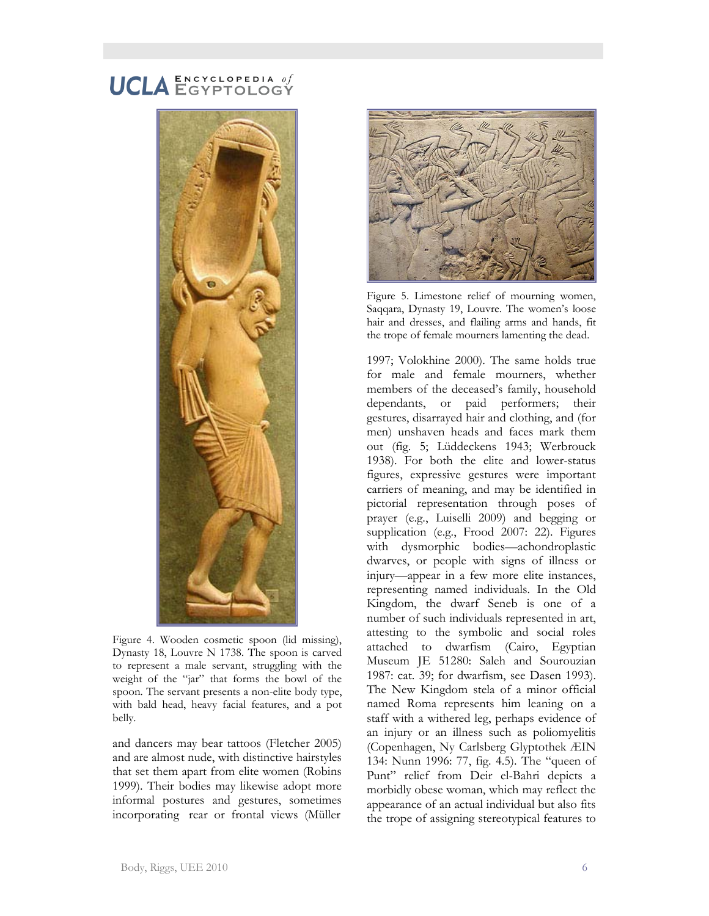# UCLA ENCYCLOPEDIA Of  $\mathbf E \, \mathbf N \, \mathbf C \, \mathbf Y \, \mathbf C \, \mathbf L \, \mathbf O \, \mathbf P \, \mathbf E \, \mathbf D \, \mathbf I \, \mathbf A \quad \theta \, \boldsymbol{f}$



Figure 4. Wooden cosmetic spoon (lid missing), Dynasty 18, Louvre N 1738. The spoon is carved to represent a male servant, struggling with the weight of the "jar" that forms the bowl of the spoon. The servant presents a non-elite body type, with bald head, heavy facial features, and a pot belly.

and dancers may bear tattoos (Fletcher 2005) and are almost nude, with distinctive hairstyles that set them apart from elite women (Robins 1999). Their bodies may likewise adopt more informal postures and gestures, sometimes incorporating rear or frontal views (Müller



Figure 5. Limestone relief of mourning women, Saqqara, Dynasty 19, Louvre. The women's loose hair and dresses, and flailing arms and hands, fit the trope of female mourners lamenting the dead.

1997; Volokhine 2000). The same holds true for male and female mourners, whether members of the deceased's family, household dependants, or paid performers; their gestures, disarrayed hair and clothing, and (for men) unshaven heads and faces mark them out (fig. 5; Lüddeckens 1943; Werbrouck 1938). For both the elite and lower-status figures, expressive gestures were important carriers of meaning, and may be identified in pictorial representation through poses of prayer (e.g., Luiselli 2009) and begging or supplication (e.g., Frood 2007: 22). Figures with dysmorphic bodies—achondroplastic dwarves, or people with signs of illness or injury—appear in a few more elite instances, representing named individuals. In the Old Kingdom, the dwarf Seneb is one of a number of such individuals represented in art, attesting to the symbolic and social roles attached to dwarfism (Cairo, Egyptian Museum JE 51280: Saleh and Sourouzian 1987: cat. 39; for dwarfism, see Dasen 1993). The New Kingdom stela of a minor official named Roma represents him leaning on a staff with a withered leg, perhaps evidence of an injury or an illness such as poliomyelitis (Copenhagen, Ny Carlsberg Glyptothek ÆIN 134: Nunn 1996: 77, fig. 4.5). The "queen of Punt" relief from Deir el-Bahri depicts a morbidly obese woman, which may reflect the appearance of an actual individual but also fits the trope of assigning stereotypical features to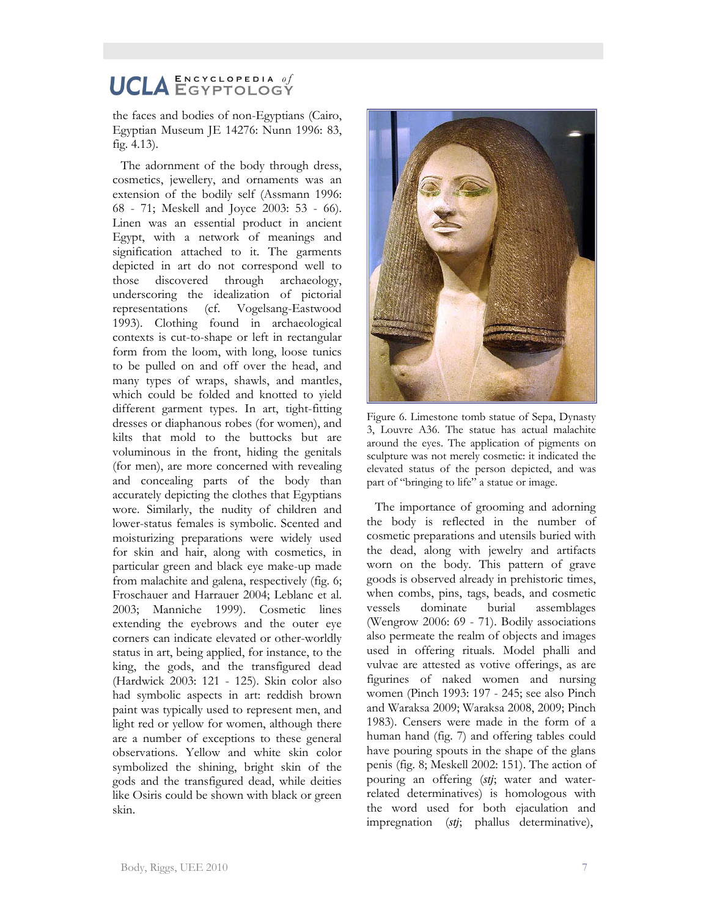the faces and bodies of non-Egyptians (Cairo, Egyptian Museum JE 14276: Nunn 1996: 83, fig. 4.13).

The adornment of the body through dress, cosmetics, jewellery, and ornaments was an extension of the bodily self (Assmann 1996: 68 - 71; Meskell and Joyce 2003: 53 - 66). Linen was an essential product in ancient Egypt, with a network of meanings and signification attached to it. The garments depicted in art do not correspond well to those discovered through archaeology, underscoring the idealization of pictorial representations (cf. Vogelsang-Eastwood 1993). Clothing found in archaeological contexts is cut-to-shape or left in rectangular form from the loom, with long, loose tunics to be pulled on and off over the head, and many types of wraps, shawls, and mantles, which could be folded and knotted to yield different garment types. In art, tight-fitting dresses or diaphanous robes (for women), and kilts that mold to the buttocks but are voluminous in the front, hiding the genitals (for men), are more concerned with revealing and concealing parts of the body than accurately depicting the clothes that Egyptians wore. Similarly, the nudity of children and lower-status females is symbolic. Scented and moisturizing preparations were widely used for skin and hair, along with cosmetics, in particular green and black eye make-up made from malachite and galena, respectively (fig. 6; Froschauer and Harrauer 2004; Leblanc et al. 2003; Manniche 1999). Cosmetic lines extending the eyebrows and the outer eye corners can indicate elevated or other-worldly status in art, being applied, for instance, to the king, the gods, and the transfigured dead (Hardwick 2003: 121 - 125). Skin color also had symbolic aspects in art: reddish brown paint was typically used to represent men, and light red or yellow for women, although there are a number of exceptions to these general observations. Yellow and white skin color symbolized the shining, bright skin of the gods and the transfigured dead, while deities like Osiris could be shown with black or green skin.



Figure 6. Limestone tomb statue of Sepa, Dynasty 3, Louvre A36. The statue has actual malachite around the eyes. The application of pigments on sculpture was not merely cosmetic: it indicated the elevated status of the person depicted, and was part of "bringing to life" a statue or image.

The importance of grooming and adorning the body is reflected in the number of cosmetic preparations and utensils buried with the dead, along with jewelry and artifacts worn on the body. This pattern of grave goods is observed already in prehistoric times, when combs, pins, tags, beads, and cosmetic vessels dominate burial assemblages (Wengrow 2006: 69 - 71). Bodily associations also permeate the realm of objects and images used in offering rituals. Model phalli and vulvae are attested as votive offerings, as are figurines of naked women and nursing women (Pinch 1993: 197 - 245; see also Pinch and Waraksa 2009; Waraksa 2008, 2009; Pinch 1983). Censers were made in the form of a human hand (fig. 7) and offering tables could have pouring spouts in the shape of the glans penis (fig. 8; Meskell 2002: 151). The action of pouring an offering (stj; water and waterrelated determinatives) is homologous with the word used for both ejaculation and impregnation (*stj*; phallus determinative),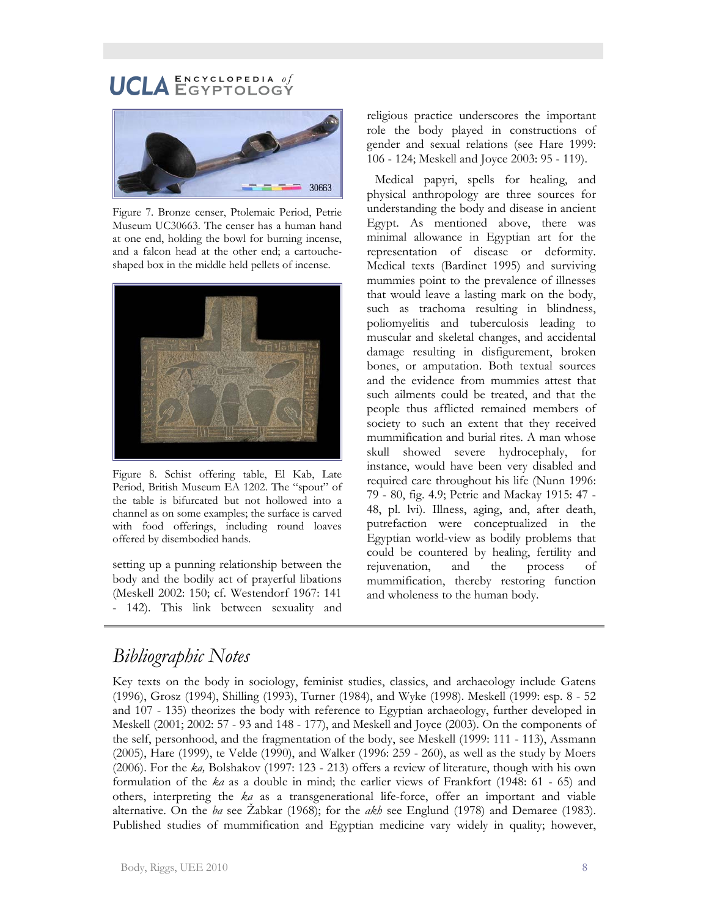#### $\mathbf E \, \mathbf N \, \mathbf C \, \mathbf Y \, \mathbf C \, \mathbf L \, \mathbf O \, \mathbf P \, \mathbf E \, \mathbf D \, \mathbf I \, \mathbf A \quad \theta \, \boldsymbol{f}$ **HCLA** EGYPTOLOGY



Figure 7. Bronze censer, Ptolemaic Period, Petrie Museum UC30663. The censer has a human hand at one end, holding the bowl for burning incense, and a falcon head at the other end; a cartoucheshaped box in the middle held pellets of incense.



Figure 8. Schist offering table, El Kab, Late Period, British Museum EA 1202. The "spout" of the table is bifurcated but not hollowed into a channel as on some examples; the surface is carved with food offerings, including round loaves offered by disembodied hands.

setting up a punning relationship between the body and the bodily act of prayerful libations (Meskell 2002: 150; cf. Westendorf 1967: 141 - 142). This link between sexuality and religious practice underscores the important role the body played in constructions of gender and sexual relations (see Hare 1999: 106 - 124; Meskell and Joyce 2003: 95 - 119).

Medical papyri, spells for healing, and physical anthropology are three sources for understanding the body and disease in ancient Egypt. As mentioned above, there was minimal allowance in Egyptian art for the representation of disease or deformity. Medical texts (Bardinet 1995) and surviving mummies point to the prevalence of illnesses that would leave a lasting mark on the body, such as trachoma resulting in blindness, poliomyelitis and tuberculosis leading to muscular and skeletal changes, and accidental damage resulting in disfigurement, broken bones, or amputation. Both textual sources and the evidence from mummies attest that such ailments could be treated, and that the people thus afflicted remained members of society to such an extent that they received mummification and burial rites. A man whose skull showed severe hydrocephaly, for instance, would have been very disabled and required care throughout his life (Nunn 1996: 79 - 80, fig. 4.9; Petrie and Mackay 1915: 47 - 48, pl. lvi). Illness, aging, and, after death, putrefaction were conceptualized in the Egyptian world-view as bodily problems that could be countered by healing, fertility and rejuvenation, and the process of mummification, thereby restoring function and wholeness to the human body.

# *Bibliographic Notes*

Key texts on the body in sociology, feminist studies, classics, and archaeology include Gatens (1996), Grosz (1994), Shilling (1993), Turner (1984), and Wyke (1998). Meskell (1999: esp. 8 - 52 and 107 - 135) theorizes the body with reference to Egyptian archaeology, further developed in Meskell (2001; 2002: 57 - 93 and 148 - 177), and Meskell and Joyce (2003). On the components of the self, personhood, and the fragmentation of the body, see Meskell (1999: 111 - 113), Assmann (2005), Hare (1999), te Velde (1990), and Walker (1996: 259 - 260), as well as the study by Moers (2006). For the *ka,* Bolshakov (1997: 123 - 213) offers a review of literature, though with his own formulation of the *ka* as a double in mind; the earlier views of Frankfort (1948: 61 - 65) and others, interpreting the *ka* as a transgenerational life-force, offer an important and viable alternative. On the *ba* see Žabkar (1968); for the *akh* see Englund (1978) and Demaree (1983). Published studies of mummification and Egyptian medicine vary widely in quality; however,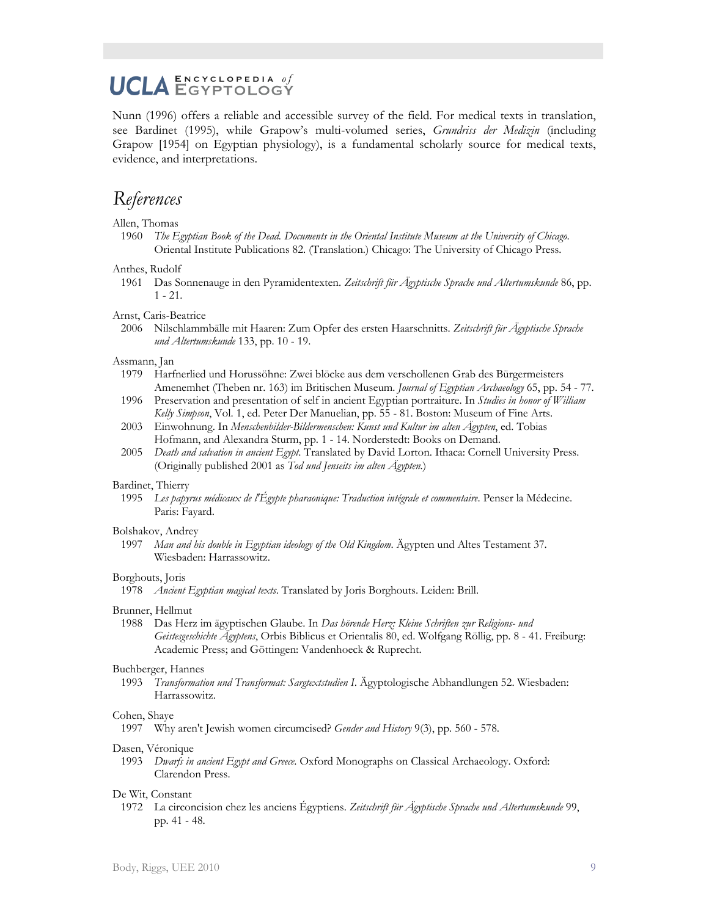## UCLA ENCYCLOPEDIA Of  $\mathbf E \, \mathbf N \, \mathbf C \, \mathbf Y \, \mathbf C \, \mathbf L \, \mathbf O \, \mathbf P \, \mathbf E \, \mathbf D \, \mathbf I \, \mathbf A \quad \theta \, \boldsymbol{f}$

Nunn (1996) offers a reliable and accessible survey of the field. For medical texts in translation, see Bardinet (1995), while Grapow's multi-volumed series, *Grundriss der Medizin* (including Grapow [1954] on Egyptian physiology), is a fundamental scholarly source for medical texts, evidence, and interpretations.

# *References*

#### Allen, Thomas

1960 *The Egyptian Book of the Dead. Documents in the Oriental Institute Museum at the University of Chicago*. Oriental Institute Publications 82. (Translation.) Chicago: The University of Chicago Press.

#### Anthes, Rudolf

1961 Das Sonnenauge in den Pyramidentexten. *Zeitschrift für Ägyptische Sprache und Altertumskunde* 86, pp. 1 - 21.

#### Arnst, Caris-Beatrice

2006 Nilschlammbälle mit Haaren: Zum Opfer des ersten Haarschnitts. *Zeitschrift für Ägyptische Sprache und Altertumskunde* 133, pp. 10 - 19.

#### Assmann, Jan

- 1979 Harfnerlied und Horussöhne: Zwei blöcke aus dem verschollenen Grab des Bürgermeisters Amenemhet (Theben nr. 163) im Britischen Museum. *Journal of Egyptian Archaeology* 65, pp. 54 - 77.
- 1996 Preservation and presentation of self in ancient Egyptian portraiture. In *Studies in honor of William Kelly Simpson*, Vol. 1, ed. Peter Der Manuelian, pp. 55 - 81. Boston: Museum of Fine Arts.
- 2003 Einwohnung. In *Menschenbilder-Bildermenschen: Kunst und Kultur im alten Ägypten*, ed. Tobias Hofmann, and Alexandra Sturm, pp. 1 - 14. Norderstedt: Books on Demand.
- 2005 *Death and salvation in ancient Egypt*. Translated by David Lorton. Ithaca: Cornell University Press. (Originally published 2001 as *Tod und Jenseits im alten Ägypten.*)

#### Bardinet, Thierry

1995 *Les papyrus médicaux de l'Égypte pharaonique: Traduction intégrale et commentaire*. Penser la Médecine. Paris: Fayard.

#### Bolshakov, Andrey

1997 *Man and his double in Egyptian ideology of the Old Kingdom*. Ägypten und Altes Testament 37. Wiesbaden: Harrassowitz.

#### Borghouts, Joris

1978 *Ancient Egyptian magical texts*. Translated by Joris Borghouts. Leiden: Brill.

#### Brunner, Hellmut

1988 Das Herz im ägyptischen Glaube. In *Das hörende Herz: Kleine Schriften zur Religions- und Geistesgeschichte Ägyptens*, Orbis Biblicus et Orientalis 80, ed. Wolfgang Röllig, pp. 8 - 41. Freiburg: Academic Press; and Göttingen: Vandenhoeck & Ruprecht.

#### Buchberger, Hannes

1993 *Transformation und Transformat: Sargtextstudien I*. Ägyptologische Abhandlungen 52. Wiesbaden: Harrassowitz.

#### Cohen, Shaye

1997 Why aren't Jewish women circumcised? *Gender and History* 9(3), pp. 560 - 578.

#### Dasen, Véronique

1993 *Dwarfs in ancient Egypt and Greece*. Oxford Monographs on Classical Archaeology. Oxford: Clarendon Press.

#### De Wit, Constant

1972 La circoncision chez les anciens Égyptiens. *Zeitschrift für Ägyptische Sprache und Altertumskunde* 99, pp. 41 - 48.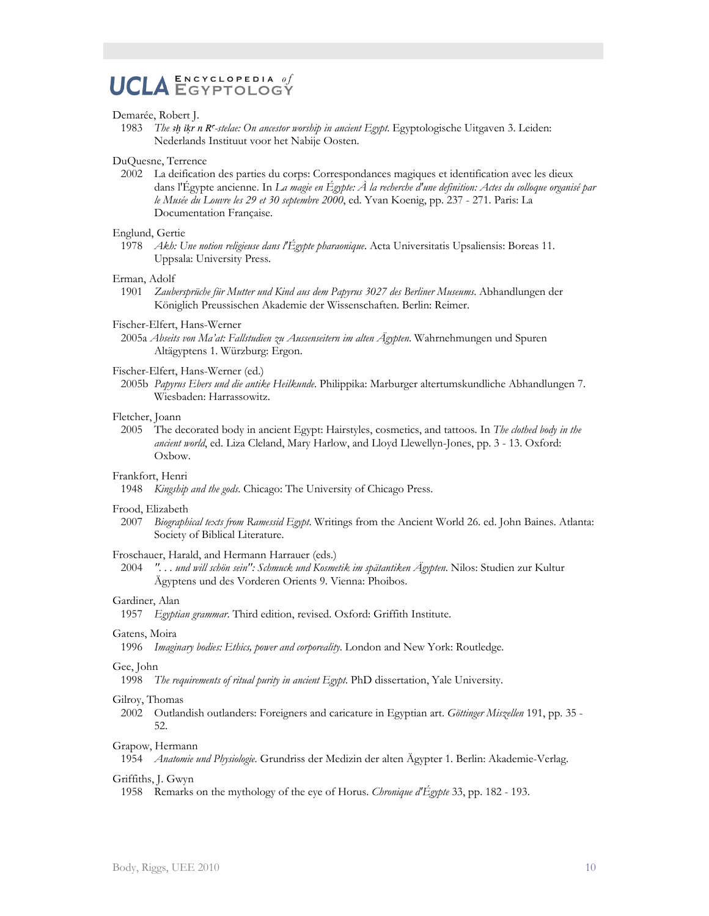## $\mathbf E \, \mathbf N \, \mathbf C \, \mathbf Y \, \mathbf C \, \mathbf L \, \mathbf O \, \mathbf P \, \mathbf E \, \mathbf D \, \mathbf I \, \mathbf A \quad \theta \, \boldsymbol{f}$ **UCLA ENCYCLOPEDIA of**

#### Demarée, Robert J.

1983 *The <sup>3</sup>h* ikr n R<sup>-</sup>stelae: On ancestor worship in ancient Egypt. Egyptologische Uitgaven 3. Leiden: Nederlands Instituut voor het Nabije Oosten.

#### DuQuesne, Terrence

2002 La deification des parties du corps: Correspondances magiques et identification avec les dieux dans l'Égypte ancienne. In *La magie en Égypte: À la recherche d'une definition: Actes du colloque organisé par le Musée du Louvre les 29 et 30 septembre 2000*, ed. Yvan Koenig, pp. 237 - 271. Paris: La Documentation Française.

#### Englund, Gertie

1978 *Akh: Une notion religieuse dans l'Égypte pharaonique*. Acta Universitatis Upsaliensis: Boreas 11. Uppsala: University Press.

#### Erman, Adolf

1901 *Zaubersprüche für Mutter und Kind aus dem Papyrus 3027 des Berliner Museums*. Abhandlungen der Königlich Preussischen Akademie der Wissenschaften. Berlin: Reimer.

#### Fischer-Elfert, Hans-Werner

2005a *Abseits von Ma'at: Fallstudien zu Aussenseitern im alten Ägypten*. Wahrnehmungen und Spuren Altägyptens 1. Würzburg: Ergon.

#### Fischer-Elfert, Hans-Werner (ed.)

2005b *Papyrus Ebers und die antike Heilkunde*. Philippika: Marburger altertumskundliche Abhandlungen 7. Wiesbaden: Harrassowitz.

#### Fletcher, Joann

2005 The decorated body in ancient Egypt: Hairstyles, cosmetics, and tattoos. In *The clothed body in the ancient world*, ed. Liza Cleland, Mary Harlow, and Lloyd Llewellyn-Jones, pp. 3 - 13. Oxford: Oxbow.

#### Frankfort, Henri

1948 *Kingship and the gods*. Chicago: The University of Chicago Press.

#### Frood, Elizabeth

2007 *Biographical texts from Ramessid Egypt*. Writings from the Ancient World 26. ed. John Baines. Atlanta: Society of Biblical Literature.

#### Froschauer, Harald, and Hermann Harrauer (eds.)

2004 *". . . und will schön sein": Schmuck und Kosmetik im spätantiken Ägypten*. Nilos: Studien zur Kultur Ägyptens und des Vorderen Orients 9. Vienna: Phoibos.

#### Gardiner, Alan

1957 *Egyptian grammar*. Third edition, revised. Oxford: Griffith Institute.

#### Gatens, Moira

1996 *Imaginary bodies: Ethics, power and corporeality*. London and New York: Routledge.

#### Gee, John

1998 *The requirements of ritual purity in ancient Egypt*. PhD dissertation, Yale University.

#### Gilroy, Thomas

2002 Outlandish outlanders: Foreigners and caricature in Egyptian art. *Göttinger Miszellen* 191, pp. 35 - 52.

#### Grapow, Hermann

1954 *Anatomie und Physiologie*. Grundriss der Medizin der alten Ägypter 1. Berlin: Akademie-Verlag.

#### Griffiths, J. Gwyn

1958 Remarks on the mythology of the eye of Horus. *Chronique d'Égypte* 33, pp. 182 - 193.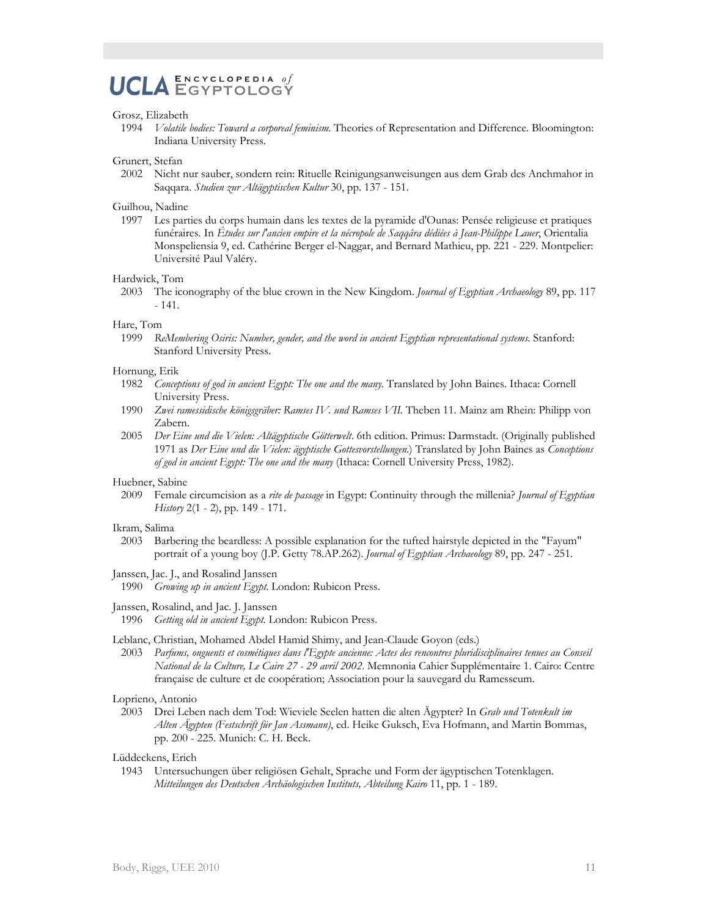## $\mathbf E \, \mathbf N \, \mathbf C \, \mathbf Y \, \mathbf C \, \mathbf L \, \mathbf O \, \mathbf P \, \mathbf E \, \mathbf D \, \mathbf I \, \mathbf A \quad \theta \, \mathit f$ **UCLA ENCYCLOPEDIA of**

#### Grosz, Elizabeth

1994 *Volatile bodies: Toward a corporeal feminism*. Theories of Representation and Difference. Bloomington: Indiana University Press.

#### Grunert, Stefan

2002 Nicht nur sauber, sondern rein: Rituelle Reinigungsanweisungen aus dem Grab des Anchmahor in Saqqara. *Studien zur Altägyptischen Kultur* 30, pp. 137 - 151.

#### Guilhou, Nadine

1997 Les parties du corps humain dans les textes de la pyramide d'Ounas: Pensée religieuse et pratiques funéraires. In *Études sur l'ancien empire et la nécropole de Saqqâra dédiées à Jean-Philippe Lauer*, Orientalia Monspeliensia 9, ed. Cathérine Berger el-Naggar, and Bernard Mathieu, pp. 221 - 229. Montpelier: Université Paul Valéry.

#### Hardwick, Tom

2003 The iconography of the blue crown in the New Kingdom. *Journal of Egyptian Archaeology* 89, pp. 117 - 141.

#### Hare, Tom

1999 *ReMembering Osiris: Number, gender, and the word in ancient Egyptian representational systems*. Stanford: Stanford University Press.

#### Hornung, Erik

- 1982 *Conceptions of god in ancient Egypt: The one and the many*. Translated by John Baines. Ithaca: Cornell University Press.
- 1990 *Zwei ramessidische königsgräber: Ramses IV. und Ramses VII.* Theben 11. Mainz am Rhein: Philipp von Zabern.
- 2005 *Der Eine und die Vielen: Altägyptische Götterwelt*. 6th edition. Primus: Darmstadt. (Originally published 1971 as *Der Eine und die Vielen: ägyptische Gottesvorstellungen*.) Translated by John Baines as *Conceptions of god in ancient Egypt: The one and the many* (Ithaca: Cornell University Press, 1982).

#### Huebner, Sabine

2009 Female circumcision as a *rite de passage* in Egypt: Continuity through the millenia? *Journal of Egyptian History* 2(1 - 2), pp. 149 - 171.

#### Ikram, Salima

- 2003 Barbering the beardless: A possible explanation for the tufted hairstyle depicted in the "Fayum" portrait of a young boy (J.P. Getty 78.AP.262). *Journal of Egyptian Archaeology* 89, pp. 247 - 251.
- Janssen, Jac. J., and Rosalind Janssen
- 1990 *Growing up in ancient Egypt*. London: Rubicon Press.

#### Janssen, Rosalind, and Jac. J. Janssen

1996 *Getting old in ancient Egypt*. London: Rubicon Press.

#### Leblanc, Christian, Mohamed Abdel Hamid Shimy, and Jean-Claude Goyon (eds.)

2003 *Parfums, onguents et cosmétiques dans l'Egypte ancienne: Actes des rencontres pluridisciplinaires tenues au Conseil National de la Culture, Le Caire 27 - 29 avril 2002*. Memnonia Cahier Supplémentaire 1. Cairo: Centre française de culture et de coopération; Association pour la sauvegard du Ramesseum.

#### Loprieno, Antonio

2003 Drei Leben nach dem Tod: Wieviele Seelen hatten die alten Ägypter? In *Grab und Totenkult im Alten Ägypten (Festschrift für Jan Assmann)*, ed. Heike Guksch, Eva Hofmann, and Martin Bommas, pp. 200 - 225. Munich: C. H. Beck.

Lüddeckens, Erich

1943 Untersuchungen über religiösen Gehalt, Sprache und Form der ägyptischen Totenklagen. *Mitteilungen des Deutschen Archäologischen Instituts, Abteilung Kairo* 11, pp. 1 - 189.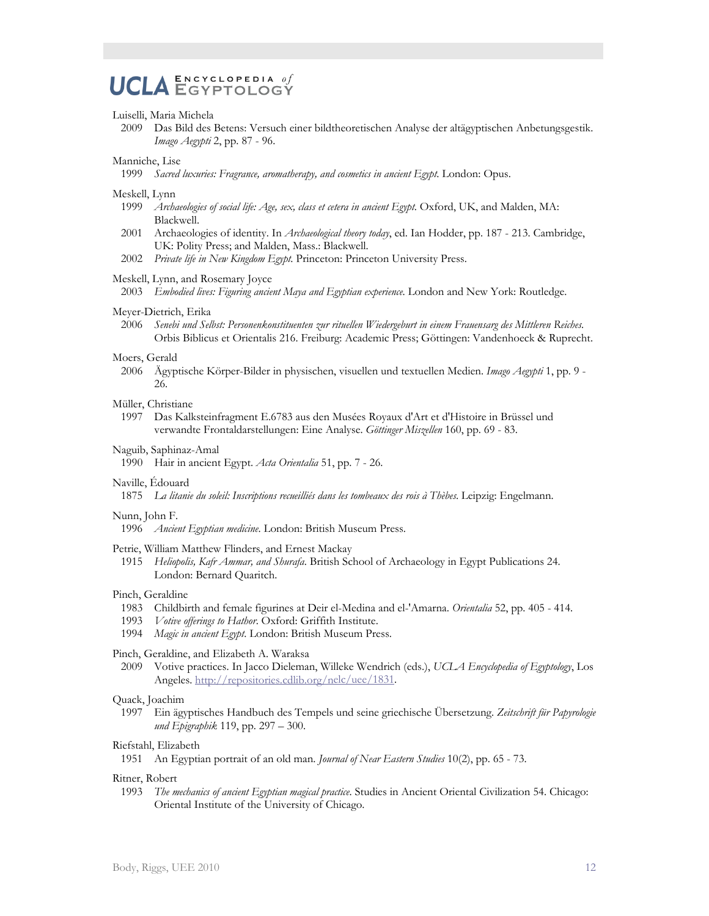#### $\mathbf E \, \mathbf N \, \mathbf C \, \mathbf Y \, \mathbf C \, \mathbf L \, \mathbf O \, \mathbf P \, \mathbf E \, \mathbf D \, \mathbf I \, \mathbf A \quad \theta \, \boldsymbol{f}$ **UCLA** EGYPTOLOGY

#### Luiselli, Maria Michela

2009 Das Bild des Betens: Versuch einer bildtheoretischen Analyse der altägyptischen Anbetungsgestik. *Imago Aegypti* 2, pp. 87 - 96.

#### Manniche, Lise

1999 *Sacred luxuries: Fragrance, aromatherapy, and cosmetics in ancient Egypt*. London: Opus.

#### Meskell, Lynn

- 1999 *Archaeologies of social life: Age, sex, class et cetera in ancient Egypt*. Oxford, UK, and Malden, MA: Blackwell.
- 2001 Archaeologies of identity. In *Archaeological theory today*, ed. Ian Hodder, pp. 187 213. Cambridge, UK: Polity Press; and Malden, Mass.: Blackwell.
- 2002 *Private life in New Kingdom Egypt*. Princeton: Princeton University Press.

#### Meskell, Lynn, and Rosemary Joyce

2003 *Embodied lives: Figuring ancient Maya and Egyptian experience*. London and New York: Routledge.

#### Meyer-Dietrich, Erika

2006 *Senebi und Selbst: Personenkonstituenten zur rituellen Wiedergeburt in einem Frauensarg des Mittleren Reiches*. Orbis Biblicus et Orientalis 216. Freiburg: Academic Press; Göttingen: Vandenhoeck & Ruprecht.

#### Moers, Gerald

2006 Ägyptische Körper-Bilder in physischen, visuellen und textuellen Medien. *Imago Aegypti* 1, pp. 9 - 26.

#### Müller, Christiane

1997 Das Kalksteinfragment E.6783 aus den Musées Royaux d'Art et d'Histoire in Brüssel und verwandte Frontaldarstellungen: Eine Analyse. *Göttinger Miszellen* 160, pp. 69 - 83.

#### Naguib, Saphinaz-Amal

1990 Hair in ancient Egypt. *Acta Orientalia* 51, pp. 7 - 26.

#### Naville, Édouard

1875 *La litanie du soleil: Inscriptions recueilliés dans les tombeaux des rois à Thèbes*. Leipzig: Engelmann.

#### Nunn, John F.

1996 *Ancient Egyptian medicine*. London: British Museum Press.

#### Petrie, William Matthew Flinders, and Ernest Mackay

1915 *Heliopolis, Kafr Ammar, and Shurafa*. British School of Archaeology in Egypt Publications 24. London: Bernard Quaritch.

#### Pinch, Geraldine

- 1983 Childbirth and female figurines at Deir el-Medina and el-'Amarna. *Orientalia* 52, pp. 405 414.
- 1993 *Votive offerings to Hathor*. Oxford: Griffith Institute.
- 1994 *Magic in ancient Egypt*. London: British Museum Press.

#### Pinch, Geraldine, and Elizabeth A. Waraksa

2009 Votive practices. In Jacco Dieleman, Willeke Wendrich (eds.), *UCLA Encyclopedia of Egyptology*, Los Angeles. [http://repositories.cdlib.org/nelc/uee/1831.](http://repositories.cdlib.org/nelc/uee/1831)

#### Quack, Joachim

1997 Ein ägyptisches Handbuch des Tempels und seine griechische Übersetzung. *Zeitschrift für Papyrologie und Epigraphik* 119, pp. 297 – 300.

#### Riefstahl, Elizabeth

1951 An Egyptian portrait of an old man. *Journal of Near Eastern Studies* 10(2), pp. 65 - 73.

#### Ritner, Robert

1993 *The mechanics of ancient Egyptian magical practice*. Studies in Ancient Oriental Civilization 54. Chicago: Oriental Institute of the University of Chicago.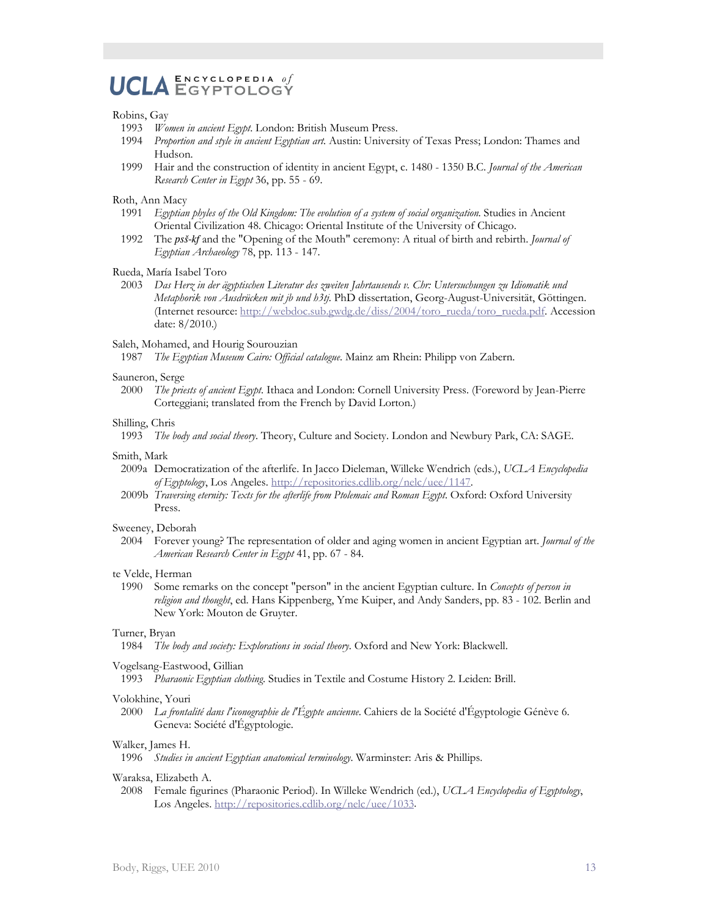## UCLA ENGYGLOPEDIA of  $\mathbf E \, \mathbf N \, \mathbf C \, \mathbf Y \, \mathbf C \, \mathbf L \, \mathbf O \, \mathbf P \, \mathbf E \, \mathbf D \, \mathbf I \, \mathbf A \quad \theta \, \boldsymbol{f}$

#### Robins, Gay

- 1993 *Women in ancient Egypt*. London: British Museum Press.
- 1994 *Proportion and style in ancient Egyptian art*. Austin: University of Texas Press; London: Thames and Hudson.
- 1999 Hair and the construction of identity in ancient Egypt, c. 1480 1350 B.C. *Journal of the American Research Center in Egypt* 36, pp. 55 - 69.

#### Roth, Ann Macy

- 1991 *Egyptian phyles of the Old Kingdom: The evolution of a system of social organization*. Studies in Ancient Oriental Civilization 48. Chicago: Oriental Institute of the University of Chicago.
- 1992 The *psS-kf* and the "Opening of the Mouth" ceremony: A ritual of birth and rebirth. *Journal of Egyptian Archaeology* 78, pp. 113 - 147.

#### Rueda, María Isabel Toro

2003 *Das Herz in der ägyptischen Literatur des zweiten Jahrtausends v. Chr: Untersuchungen zu Idiomatik und Metaphorik von Ausdrücken mit jb und h3tj*. PhD dissertation, Georg-August-Universität, Göttingen. (Internet resource: [http://webdoc.sub.gwdg.de/diss/2004/toro\\_rueda/toro\\_rueda.pdf.](http://webdoc.sub.gwdg.de/diss/2004/toro_rueda/toro_rueda.pdf) Accession date: 8/2010.)

#### Saleh, Mohamed, and Hourig Sourouzian

1987 *The Egyptian Museum Cairo: Official catalogue*. Mainz am Rhein: Philipp von Zabern.

#### Sauneron, Serge

2000 *The priests of ancient Egypt*. Ithaca and London: Cornell University Press. (Foreword by Jean-Pierre Corteggiani; translated from the French by David Lorton.)

#### Shilling, Chris

1993 *The body and social theory*. Theory, Culture and Society. London and Newbury Park, CA: SAGE.

#### Smith, Mark

- 2009a Democratization of the afterlife. In Jacco Dieleman, Willeke Wendrich (eds.), *UCLA Encyclopedia of Egyptology*, Los Angeles. [http://repositories.cdlib.org/nelc/uee/1147.](http://repositories.cdlib.org/nelc/uee/1147)
- 2009b *Traversing eternity: Texts for the afterlife from Ptolemaic and Roman Egypt*. Oxford: Oxford University Press.

#### Sweeney, Deborah

2004 Forever young? The representation of older and aging women in ancient Egyptian art. *Journal of the American Research Center in Egypt* 41, pp. 67 - 84.

#### te Velde, Herman

1990 Some remarks on the concept "person" in the ancient Egyptian culture. In *Concepts of person in religion and thought*, ed. Hans Kippenberg, Yme Kuiper, and Andy Sanders, pp. 83 - 102. Berlin and New York: Mouton de Gruyter.

#### Turner, Bryan

1984 *The body and society: Explorations in social theory*. Oxford and New York: Blackwell.

#### Vogelsang-Eastwood, Gillian

1993 *Pharaonic Egyptian clothing*. Studies in Textile and Costume History 2. Leiden: Brill.

#### Volokhine, Youri

2000 *La frontalité dans l'iconographie de l'Égypte ancienne*. Cahiers de la Société d'Égyptologie Génève 6. Geneva: Société d'Égyptologie.

#### Walker, James H.

1996 *Studies in ancient Egyptian anatomical terminology*. Warminster: Aris & Phillips.

#### Waraksa, Elizabeth A.

2008 Female figurines (Pharaonic Period). In Willeke Wendrich (ed.), *UCLA Encyclopedia of Egyptology*, Los Angeles. [http://repositories.cdlib.org/nelc/uee/1033.](http://repositories.cdlib.org/nelc/uee/1033)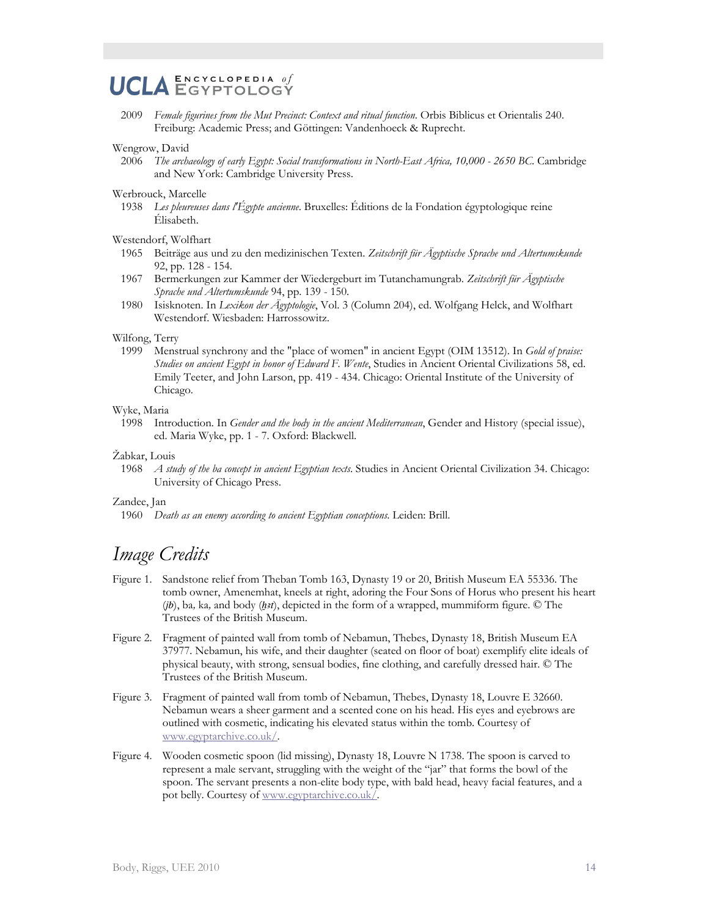#### $\mathbf E \, \mathbf N \, \mathbf C \, \mathbf Y \, \mathbf C \, \mathbf L \, \mathbf O \, \mathbf P \, \mathbf E \, \mathbf D \, \mathbf I \, \mathbf A \quad \theta \, \boldsymbol{f}$ **UCLA** EGYPTOLOGÝ

2009 *Female figurines from the Mut Precinct: Context and ritual function*. Orbis Biblicus et Orientalis 240. Freiburg: Academic Press; and Göttingen: Vandenhoeck & Ruprecht.

#### Wengrow, David

2006 *The archaeology of early Egypt: Social transformations in North-East Africa, 10,000 - 2650 BC*. Cambridge and New York: Cambridge University Press.

#### Werbrouck, Marcelle

1938 *Les pleureuses dans l'Égypte ancienne*. Bruxelles: Éditions de la Fondation égyptologique reine Élisabeth.

#### Westendorf, Wolfhart

- 1965 Beiträge aus und zu den medizinischen Texten. *Zeitschrift für Ägyptische Sprache und Altertumskunde* 92, pp. 128 - 154.
- 1967 Bermerkungen zur Kammer der Wiedergeburt im Tutanchamungrab. *Zeitschrift für Ägyptische Sprache und Altertumskunde* 94, pp. 139 - 150.
- 1980 Isisknoten. In *Lexikon der Ägyptologie*, Vol. 3 (Column 204), ed. Wolfgang Helck, and Wolfhart Westendorf. Wiesbaden: Harrossowitz.

#### Wilfong, Terry

1999 Menstrual synchrony and the "place of women" in ancient Egypt (OIM 13512). In *Gold of praise: Studies on ancient Egypt in honor of Edward F. Wente*, Studies in Ancient Oriental Civilizations 58, ed. Emily Teeter, and John Larson, pp. 419 - 434. Chicago: Oriental Institute of the University of Chicago.

#### Wyke, Maria

1998 Introduction. In *Gender and the body in the ancient Mediterranean*, Gender and History (special issue), ed. Maria Wyke, pp. 1 - 7. Oxford: Blackwell.

#### Žabkar, Louis

1968 *A study of the ba concept in ancient Egyptian texts*. Studies in Ancient Oriental Civilization 34. Chicago: University of Chicago Press.

#### Zandee, Jan

1960 *Death as an enemy according to ancient Egyptian conceptions*. Leiden: Brill.

# *Image Credits*

- Figure 1. Sandstone relief from Theban Tomb 163, Dynasty 19 or 20, British Museum EA 55336. The tomb owner, Amenemhat, kneels at right, adoring the Four Sons of Horus who present his heart (*jb*), ba, ka, and body (*hst*), depicted in the form of a wrapped, mummiform figure. © The Trustees of the British Museum.
- Figure 2. Fragment of painted wall from tomb of Nebamun, Thebes, Dynasty 18, British Museum EA 37977. Nebamun, his wife, and their daughter (seated on floor of boat) exemplify elite ideals of physical beauty, with strong, sensual bodies, fine clothing, and carefully dressed hair. © The Trustees of the British Museum.
- Figure 3. Fragment of painted wall from tomb of Nebamun, Thebes, Dynasty 18, Louvre E 32660. Nebamun wears a sheer garment and a scented cone on his head. His eyes and eyebrows are outlined with cosmetic, indicating his elevated status within the tomb. Courtesy of [www.egyptarchive.co.uk/.](http://www.egyptarchive.co.uk/)
- Figure 4. Wooden cosmetic spoon (lid missing), Dynasty 18, Louvre N 1738. The spoon is carved to represent a male servant, struggling with the weight of the "jar" that forms the bowl of the spoon. The servant presents a non-elite body type, with bald head, heavy facial features, and a pot belly. Courtesy of [www.egyptarchive.co.uk/.](http://www.egyptarchive.co.uk/)